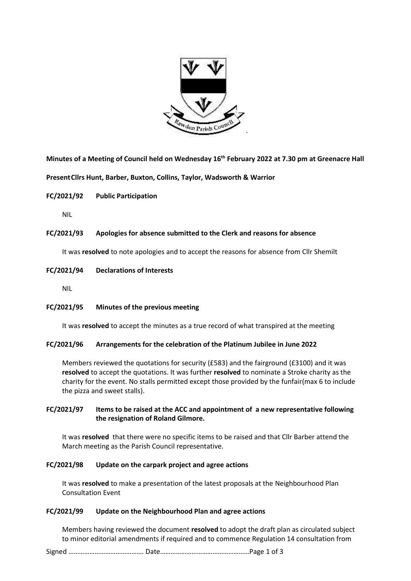

**Minutes of a Meeting of Council held on Wednesday 16th February 2022 at 7.30 pm at Greenacre Hall**

**PresentCllrs Hunt, Barber, Buxton, Collins, Taylor, Wadsworth & Warrior**

**FC/2021/92 Public Participation** 

NIL

# **FC/2021/93 Apologies for absence submitted to the Clerk and reasons for absence**

It was **resolved** to note apologies and to accept the reasons for absence from Cllr Shemilt

**FC/2021/94 Declarations of Interests** 

NIL

**FC/2021/95 Minutes of the previous meeting**

It was **resolved** to accept the minutes as a true record of what transpired at the meeting

## **FC/2021/96 Arrangements for the celebration of the Platinum Jubilee in June 2022**

Members reviewed the quotations for security (£583) and the fairground (£3100) and it was **resolved** to accept the quotations. It was further **resolved** to nominate a Stroke charity as the charity for the event. No stalls permitted except those provided by the funfair(max 6 to include the pizza and sweet stalls).

# **FC/2021/97 Items to be raised at the ACC and appointment of a new representative following the resignation of Roland Gilmore.**

It was **resolved** that there were no specific items to be raised and that Cllr Barber attend the March meeting as the Parish Council representative.

## **FC/2021/98 Update on the carpark project and agree actions**

It was **resolved** to make a presentation of the latest proposals at the Neighbourhood Plan Consultation Event

## **FC/2021/99 Update on the Neighbourhood Plan and agree actions**

Members having reviewed the document **resolved** to adopt the draft plan as circulated subject to minor editorial amendments if required and to commence Regulation 14 consultation from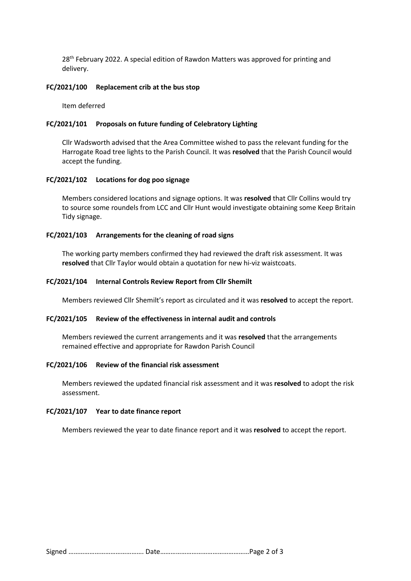28<sup>th</sup> February 2022. A special edition of Rawdon Matters was approved for printing and delivery.

#### **FC/2021/100 Replacement crib at the bus stop**

Item deferred

## **FC/2021/101 Proposals on future funding of Celebratory Lighting**

Cllr Wadsworth advised that the Area Committee wished to pass the relevant funding for the Harrogate Road tree lights to the Parish Council. It was **resolved** that the Parish Council would accept the funding.

### **FC/2021/102 Locations for dog poo signage**

Members considered locations and signage options. It was **resolved** that Cllr Collins would try to source some roundels from LCC and Cllr Hunt would investigate obtaining some Keep Britain Tidy signage.

## **FC/2021/103 Arrangements for the cleaning of road signs**

The working party members confirmed they had reviewed the draft risk assessment. It was **resolved** that Cllr Taylor would obtain a quotation for new hi-viz waistcoats.

#### **FC/2021/104 Internal Controls Review Report from Cllr Shemilt**

Members reviewed Cllr Shemilt's report as circulated and it was **resolved** to accept the report.

# **FC/2021/105 Review of the effectiveness in internal audit and controls**

Members reviewed the current arrangements and it was **resolved** that the arrangements remained effective and appropriate for Rawdon Parish Council

#### **FC/2021/106 Review of the financial risk assessment**

Members reviewed the updated financial risk assessment and it was **resolved** to adopt the risk assessment.

#### **FC/2021/107 Year to date finance report**

Members reviewed the year to date finance report and it was **resolved** to accept the report.